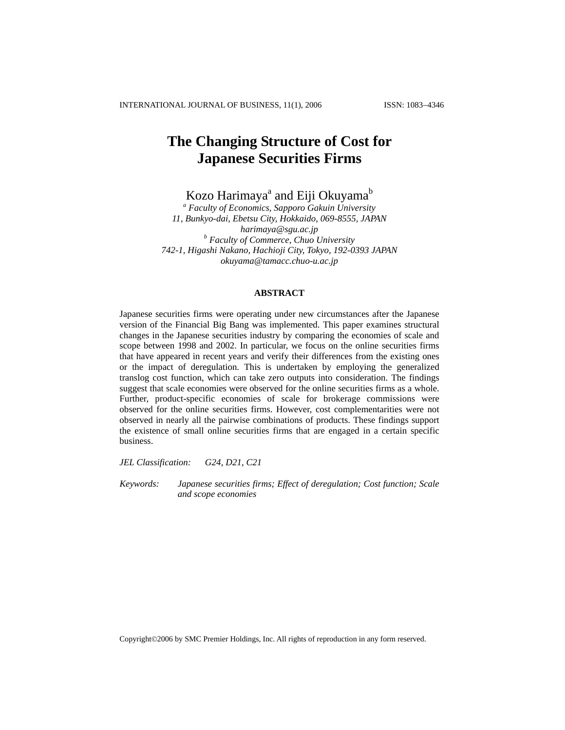# **The Changing Structure of Cost for Japanese Securities Firms**

Kozo Harimaya<sup>a</sup> and Eiji Okuyama<sup>b</sup>

*a Faculty of Economics, Sapporo Gakuin University 11, Bunkyo-dai, Ebetsu City, Hokkaido, 069-8555, JAPAN [harimaya@sgu.ac.jp](mailto:harimaya@sgu.ac.jp) <sup>b</sup> Faculty of Commerce, Chuo University 742-1, Higashi Nakano, Hachioji City, Tokyo, 192-0393 JAPAN [okuyama@tamacc.chuo-u.ac.jp](mailto:okuyama@tamacc.chuo-u.ac.jp)*

## **ABSTRACT**

Japanese securities firms were operating under new circumstances after the Japanese version of the Financial Big Bang was implemented. This paper examines structural changes in the Japanese securities industry by comparing the economies of scale and scope between 1998 and 2002. In particular, we focus on the online securities firms that have appeared in recent years and verify their differences from the existing ones or the impact of deregulation. This is undertaken by employing the generalized translog cost function, which can take zero outputs into consideration. The findings suggest that scale economies were observed for the online securities firms as a whole. Further, product-specific economies of scale for brokerage commissions were observed for the online securities firms. However, cost complementarities were not observed in nearly all the pairwise combinations of products. These findings support the existence of small online securities firms that are engaged in a certain specific business.

*JEL Classification: G24, D21, C21*

*Keywords: Japanese securities firms; Effect of deregulation; Cost function; Scale and scope economies* 

Copyright©2006 by SMC Premier Holdings, Inc. All rights of reproduction in any form reserved.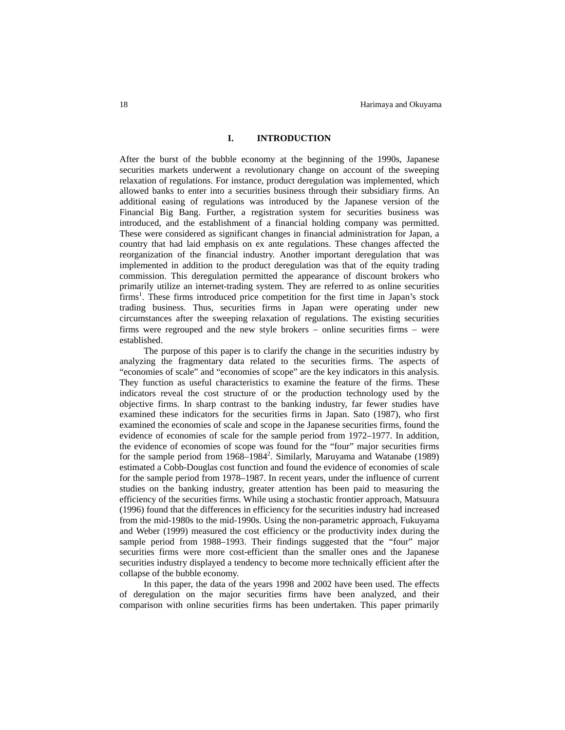## **I. INTRODUCTION**

After the burst of the bubble economy at the beginning of the 1990s, Japanese securities markets underwent a revolutionary change on account of the sweeping relaxation of regulations. For instance, product deregulation was implemented, which allowed banks to enter into a securities business through their subsidiary firms. An additional easing of regulations was introduced by the Japanese version of the Financial Big Bang. Further, a registration system for securities business was introduced, and the establishment of a financial holding company was permitted. These were considered as significant changes in financial administration for Japan, a country that had laid emphasis on ex ante regulations. These changes affected the reorganization of the financial industry. Another important deregulation that was implemented in addition to the product deregulation was that of the equity trading commission. This deregulation permitted the appearance of discount brokers who primarily utilize an internet-trading system. They are referred to as online securities firms<sup>1</sup>. These firms introduced price competition for the first time in Japan's stock trading business. Thus, securities firms in Japan were operating under new circumstances after the sweeping relaxation of regulations. The existing securities firms were regrouped and the new style brokers − online securities firms − were established.

The purpose of this paper is to clarify the change in the securities industry by analyzing the fragmentary data related to the securities firms. The aspects of "economies of scale" and "economies of scope" are the key indicators in this analysis. They function as useful characteristics to examine the feature of the firms. These indicators reveal the cost structure of or the production technology used by the objective firms. In sharp contrast to the banking industry, far fewer studies have examined these indicators for the securities firms in Japan. Sato (1987), who first examined the economies of scale and scope in the Japanese securities firms, found the evidence of economies of scale for the sample period from 1972–1977. In addition, the evidence of economies of scope was found for the "four" major securities firms for the sample period from 1968–1984<sup>2</sup>. Similarly, Maruyama and Watanabe (1989) estimated a Cobb-Douglas cost function and found the evidence of economies of scale for the sample period from 1978–1987. In recent years, under the influence of current studies on the banking industry, greater attention has been paid to measuring the efficiency of the securities firms. While using a stochastic frontier approach, Matsuura (1996) found that the differences in efficiency for the securities industry had increased from the mid-1980s to the mid-1990s. Using the non-parametric approach, Fukuyama and Weber (1999) measured the cost efficiency or the productivity index during the sample period from 1988–1993. Their findings suggested that the "four" major securities firms were more cost-efficient than the smaller ones and the Japanese securities industry displayed a tendency to become more technically efficient after the collapse of the bubble economy.

In this paper, the data of the years 1998 and 2002 have been used. The effects of deregulation on the major securities firms have been analyzed, and their comparison with online securities firms has been undertaken. This paper primarily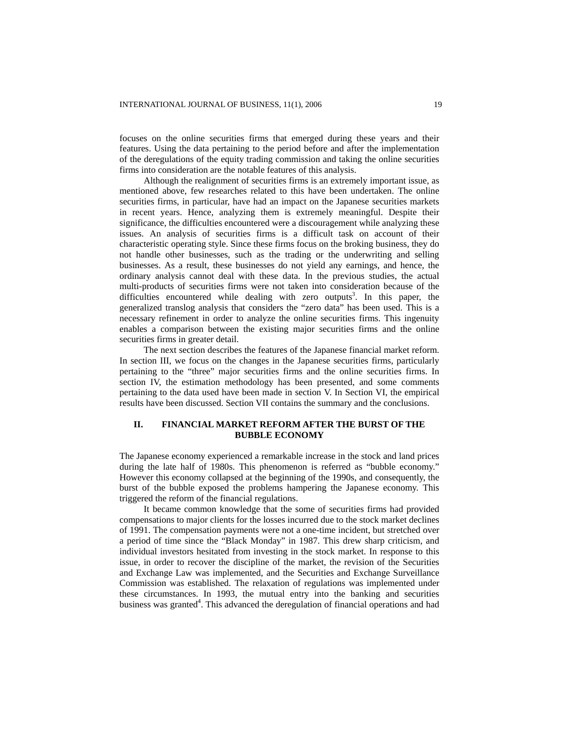focuses on the online securities firms that emerged during these years and their features. Using the data pertaining to the period before and after the implementation of the deregulations of the equity trading commission and taking the online securities firms into consideration are the notable features of this analysis.

Although the realignment of securities firms is an extremely important issue, as mentioned above, few researches related to this have been undertaken. The online securities firms, in particular, have had an impact on the Japanese securities markets in recent years. Hence, analyzing them is extremely meaningful. Despite their significance, the difficulties encountered were a discouragement while analyzing these issues. An analysis of securities firms is a difficult task on account of their characteristic operating style. Since these firms focus on the broking business, they do not handle other businesses, such as the trading or the underwriting and selling businesses. As a result, these businesses do not yield any earnings, and hence, the ordinary analysis cannot deal with these data. In the previous studies, the actual multi-products of securities firms were not taken into consideration because of the difficulties encountered while dealing with zero outputs<sup>3</sup>. In this paper, the generalized translog analysis that considers the "zero data" has been used. This is a necessary refinement in order to analyze the online securities firms. This ingenuity enables a comparison between the existing major securities firms and the online securities firms in greater detail.

The next section describes the features of the Japanese financial market reform. In section III, we focus on the changes in the Japanese securities firms, particularly pertaining to the "three" major securities firms and the online securities firms. In section IV, the estimation methodology has been presented, and some comments pertaining to the data used have been made in section V. In Section VI, the empirical results have been discussed. Section VII contains the summary and the conclusions.

# **II. FINANCIAL MARKET REFORM AFTER THE BURST OF THE BUBBLE ECONOMY**

The Japanese economy experienced a remarkable increase in the stock and land prices during the late half of 1980s. This phenomenon is referred as "bubble economy." However this economy collapsed at the beginning of the 1990s, and consequently, the burst of the bubble exposed the problems hampering the Japanese economy. This triggered the reform of the financial regulations.

It became common knowledge that the some of securities firms had provided compensations to major clients for the losses incurred due to the stock market declines of 1991. The compensation payments were not a one-time incident, but stretched over a period of time since the "Black Monday" in 1987. This drew sharp criticism, and individual investors hesitated from investing in the stock market. In response to this issue, in order to recover the discipline of the market, the revision of the Securities and Exchange Law was implemented, and the Securities and Exchange Surveillance Commission was established. The relaxation of regulations was implemented under these circumstances. In 1993, the mutual entry into the banking and securities business was granted<sup>4</sup>. This advanced the deregulation of financial operations and had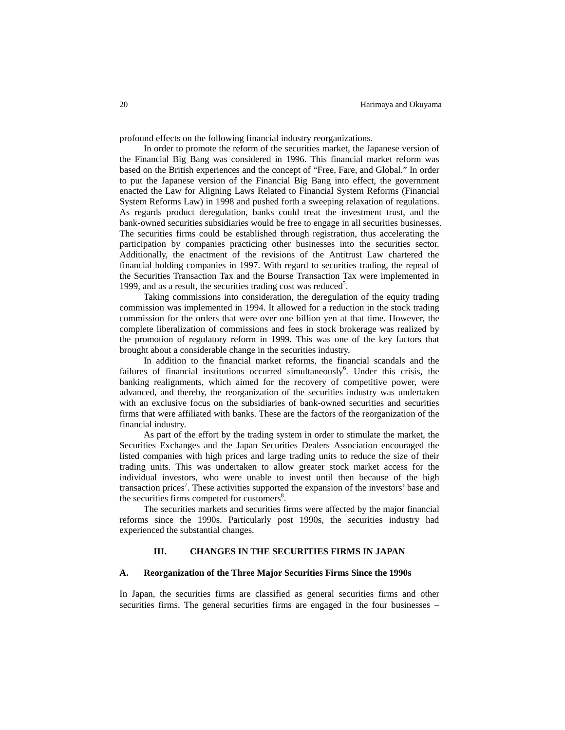profound effects on the following financial industry reorganizations.

In order to promote the reform of the securities market, the Japanese version of the Financial Big Bang was considered in 1996. This financial market reform was based on the British experiences and the concept of "Free, Fare, and Global." In order to put the Japanese version of the Financial Big Bang into effect, the government enacted the Law for Aligning Laws Related to Financial System Reforms (Financial System Reforms Law) in 1998 and pushed forth a sweeping relaxation of regulations. As regards product deregulation, banks could treat the investment trust, and the bank-owned securities subsidiaries would be free to engage in all securities businesses. The securities firms could be established through registration, thus accelerating the participation by companies practicing other businesses into the securities sector. Additionally, the enactment of the revisions of the Antitrust Law chartered the financial holding companies in 1997. With regard to securities trading, the repeal of the Securities Transaction Tax and the Bourse Transaction Tax were implemented in 1999, and as a result, the securities trading cost was reduced<sup>5</sup>.

Taking commissions into consideration, the deregulation of the equity trading commission was implemented in 1994. It allowed for a reduction in the stock trading commission for the orders that were over one billion yen at that time. However, the complete liberalization of commissions and fees in stock brokerage was realized by the promotion of regulatory reform in 1999. This was one of the key factors that brought about a considerable change in the securities industry.

In addition to the financial market reforms, the financial scandals and the failures of financial institutions occurred simultaneously<sup>6</sup>. Under this crisis, the banking realignments, which aimed for the recovery of competitive power, were advanced, and thereby, the reorganization of the securities industry was undertaken with an exclusive focus on the subsidiaries of bank-owned securities and securities firms that were affiliated with banks. These are the factors of the reorganization of the financial industry.

As part of the effort by the trading system in order to stimulate the market, the Securities Exchanges and the Japan Securities Dealers Association encouraged the listed companies with high prices and large trading units to reduce the size of their trading units. This was undertaken to allow greater stock market access for the individual investors, who were unable to invest until then because of the high transaction prices<sup>7</sup>. These activities supported the expansion of the investors' base and the securities firms competed for customers<sup>8</sup>.

The securities markets and securities firms were affected by the major financial reforms since the 1990s. Particularly post 1990s, the securities industry had experienced the substantial changes.

#### **III. CHANGES IN THE SECURITIES FIRMS IN JAPAN**

#### **A. Reorganization of the Three Major Securities Firms Since the 1990s**

In Japan, the securities firms are classified as general securities firms and other securities firms. The general securities firms are engaged in the four businesses −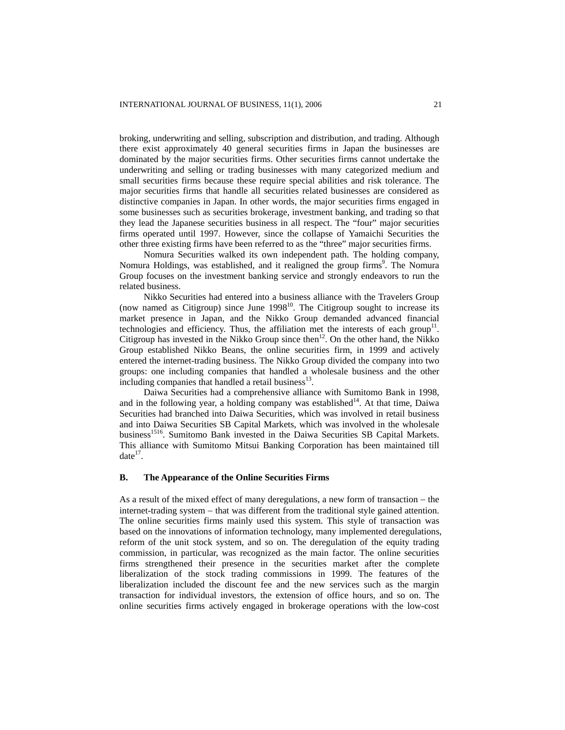broking, underwriting and selling, subscription and distribution, and trading. Although there exist approximately 40 general securities firms in Japan the businesses are dominated by the major securities firms. Other securities firms cannot undertake the underwriting and selling or trading businesses with many categorized medium and small securities firms because these require special abilities and risk tolerance. The major securities firms that handle all securities related businesses are considered as distinctive companies in Japan. In other words, the major securities firms engaged in some businesses such as securities brokerage, investment banking, and trading so that they lead the Japanese securities business in all respect. The "four" major securities firms operated until 1997. However, since the collapse of Yamaichi Securities the other three existing firms have been referred to as the "three" major securities firms.

Nomura Securities walked its own independent path. The holding company, Nomura Holdings, was established, and it realigned the group firms<sup>9</sup>. The Nomura Group focuses on the investment banking service and strongly endeavors to run the related business.

Nikko Securities had entered into a business alliance with the Travelers Group (now named as Citigroup) since June  $1998<sup>10</sup>$ . The Citigroup sought to increase its market presence in Japan, and the Nikko Group demanded advanced financial technologies and efficiency. Thus, the affiliation met the interests of each group<sup>11</sup>. Citigroup has invested in the Nikko Group since then<sup>12</sup>. On the other hand, the Nikko Group established Nikko Beans, the online securities firm, in 1999 and actively entered the internet-trading business. The Nikko Group divided the company into two groups: one including companies that handled a wholesale business and the other including companies that handled a retail business $^{13}$ .

Daiwa Securities had a comprehensive alliance with Sumitomo Bank in 1998, and in the following year, a holding company was established<sup>14</sup>. At that time, Daiwa Securities had branched into Daiwa Securities, which was involved in retail business and into Daiwa Securities SB Capital Markets, which was involved in the wholesale business<sup>1516</sup>. Sumitomo Bank invested in the Daiwa Securities SB Capital Markets. This alliance with Sumitomo Mitsui Banking Corporation has been maintained till  $date^{17}$ .

## **B. The Appearance of the Online Securities Firms**

As a result of the mixed effect of many deregulations, a new form of transaction − the internet-trading system − that was different from the traditional style gained attention. The online securities firms mainly used this system. This style of transaction was based on the innovations of information technology, many implemented deregulations, reform of the unit stock system, and so on. The deregulation of the equity trading commission, in particular, was recognized as the main factor. The online securities firms strengthened their presence in the securities market after the complete liberalization of the stock trading commissions in 1999. The features of the liberalization included the discount fee and the new services such as the margin transaction for individual investors, the extension of office hours, and so on. The online securities firms actively engaged in brokerage operations with the low-cost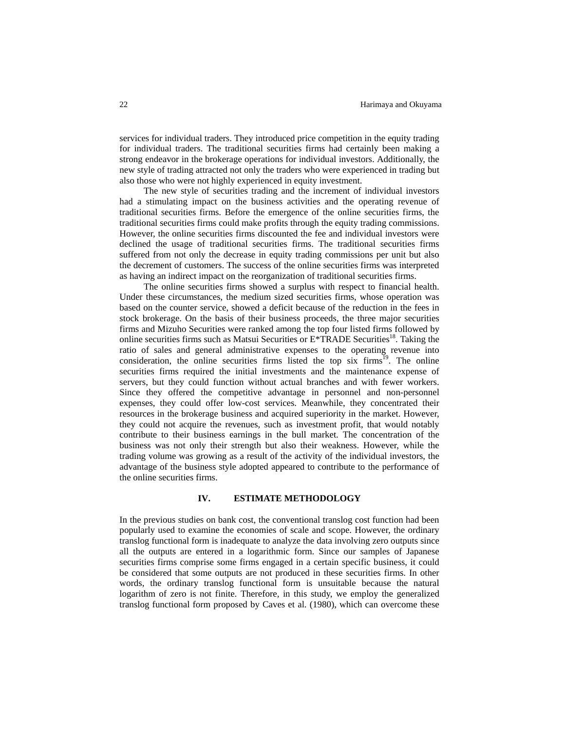services for individual traders. They introduced price competition in the equity trading for individual traders. The traditional securities firms had certainly been making a strong endeavor in the brokerage operations for individual investors. Additionally, the new style of trading attracted not only the traders who were experienced in trading but also those who were not highly experienced in equity investment.

The new style of securities trading and the increment of individual investors had a stimulating impact on the business activities and the operating revenue of traditional securities firms. Before the emergence of the online securities firms, the traditional securities firms could make profits through the equity trading commissions. However, the online securities firms discounted the fee and individual investors were declined the usage of traditional securities firms. The traditional securities firms suffered from not only the decrease in equity trading commissions per unit but also the decrement of customers. The success of the online securities firms was interpreted as having an indirect impact on the reorganization of traditional securities firms.

The online securities firms showed a surplus with respect to financial health. Under these circumstances, the medium sized securities firms, whose operation was based on the counter service, showed a deficit because of the reduction in the fees in stock brokerage. On the basis of their business proceeds, the three major securities firms and Mizuho Securities were ranked among the top four listed firms followed by online securities firms such as Matsui Securities or  $E*TRADE$  Securities<sup>18</sup>. Taking the ratio of sales and general administrative expenses to the operating revenue into consideration, the online securities firms listed the top six firms<sup>19</sup>. The online securities firms required the initial investments and the maintenance expense of servers, but they could function without actual branches and with fewer workers. Since they offered the competitive advantage in personnel and non-personnel expenses, they could offer low-cost services. Meanwhile, they concentrated their resources in the brokerage business and acquired superiority in the market. However, they could not acquire the revenues, such as investment profit, that would notably contribute to their business earnings in the bull market. The concentration of the business was not only their strength but also their weakness. However, while the trading volume was growing as a result of the activity of the individual investors, the advantage of the business style adopted appeared to contribute to the performance of the online securities firms.

#### **IV. ESTIMATE METHODOLOGY**

In the previous studies on bank cost, the conventional translog cost function had been popularly used to examine the economies of scale and scope. However, the ordinary translog functional form is inadequate to analyze the data involving zero outputs since all the outputs are entered in a logarithmic form. Since our samples of Japanese securities firms comprise some firms engaged in a certain specific business, it could be considered that some outputs are not produced in these securities firms. In other words, the ordinary translog functional form is unsuitable because the natural logarithm of zero is not finite. Therefore, in this study, we employ the generalized translog functional form proposed by Caves et al. (1980), which can overcome these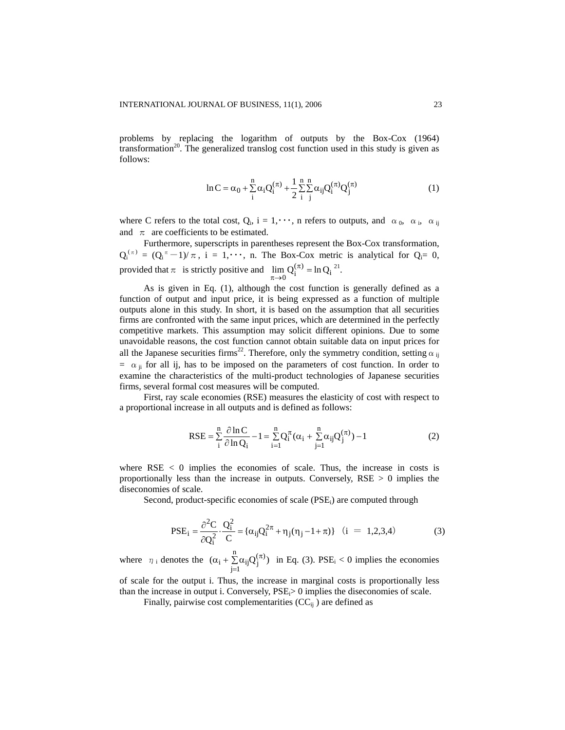problems by replacing the logarithm of outputs by the Box-Cox (1964) transformation<sup>20</sup>. The generalized translog cost function used in this study is given as follows:

$$
\ln C = \alpha_0 + \sum_{i=1}^{n} \alpha_i Q_i^{(\pi)} + \frac{1}{2} \sum_{i=1}^{n} \sum_{j=1}^{n} \alpha_{ij} Q_i^{(\pi)} Q_j^{(\pi)}
$$
(1)

where C refers to the total cost,  $Q_i$ ,  $i = 1, \dots, n$  refers to outputs, and  $\alpha_0$ ,  $\alpha_i$ ,  $\alpha_{ii}$ and  $\pi$  are coefficients to be estimated.

Furthermore, superscripts in parentheses represent the Box-Cox transformation,  $Q_i^{(\pi)} = (Q_i^{\pi} - 1)/\pi$ , i = 1,  $\cdots$ , n. The Box-Cox metric is analytical for  $Q_i = 0$ , provided that  $\pi$  is strictly positive and  $\lim_{n \to \infty} Q_i^{(\pi)} = \ln Q_i$  $\lim_{\pi \to 0} Q_i^{(\pi)} = \ln Q_i^{21}.$ 

As is given in Eq. (1), although the cost function is generally defined as a function of output and input price, it is being expressed as a function of multiple outputs alone in this study. In short, it is based on the assumption that all securities firms are confronted with the same input prices, which are determined in the perfectly competitive markets. This assumption may solicit different opinions. Due to some unavoidable reasons, the cost function cannot obtain suitable data on input prices for all the Japanese securities firms<sup>22</sup>. Therefore, only the symmetry condition, setting  $\alpha_{ij}$  $= \alpha_{ii}$  for all ij, has to be imposed on the parameters of cost function. In order to examine the characteristics of the multi-product technologies of Japanese securities firms, several formal cost measures will be computed.

First, ray scale economies (RSE) measures the elasticity of cost with respect to a proportional increase in all outputs and is defined as follows:

$$
RSE = \sum_{i}^{n} \frac{\partial \ln C}{\partial \ln Q_{i}} - 1 = \sum_{i=1}^{n} Q_{i}^{\pi} (\alpha_{i} + \sum_{j=1}^{n} \alpha_{ij} Q_{j}^{(\pi)}) - 1
$$
(2)

where  $RSE < 0$  implies the economies of scale. Thus, the increase in costs is proportionally less than the increase in outputs. Conversely,  $RSE > 0$  implies the diseconomies of scale.

Second, product-specific economies of scale  $(PSE_i)$  are computed through

$$
PSE_{i} = \frac{\partial^{2} C}{\partial Q_{i}^{2}} \cdot \frac{Q_{i}^{2}}{C} = \{\alpha_{ij} Q_{i}^{2\pi} + \eta_{j} (\eta_{j} - 1 + \pi)\} \quad (i = 1, 2, 3, 4)
$$
 (3)

where  $\eta_i$  denotes the  $(\alpha_i + \sum_{i=1}^n \alpha_{ii} Q_i^{(\pi)})$  in Eq. (3). PSE  $j=1$  $\alpha_i + \sum_{j=1}^n \alpha_{ij} Q_j^{(\pi)}$  $(\pi)$  in Eq. (3). PSE<sub>i</sub> < 0 implies the economies

of scale for the output i. Thus, the increase in marginal costs is proportionally less than the increase in output i. Conversely,  $PSE_i > 0$  implies the diseconomies of scale.

Finally, pairwise cost complementarities  $(CC_{ii})$  are defined as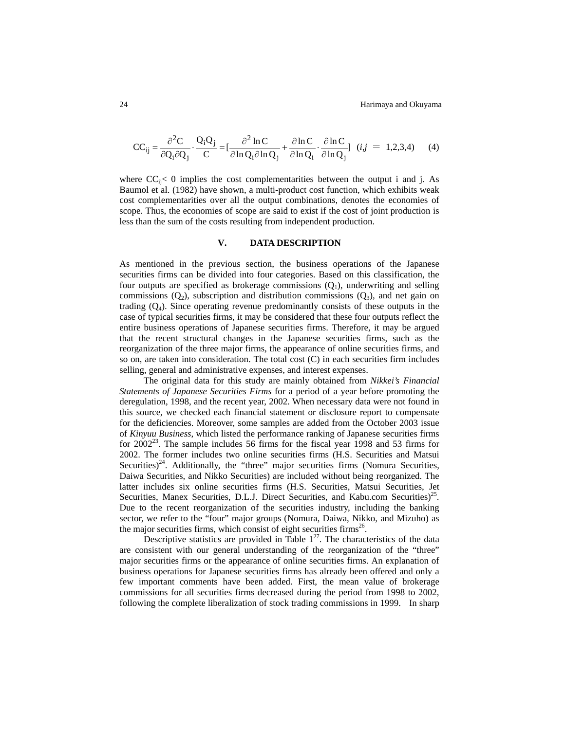$$
CC_{ij} = \frac{\partial^2 C}{\partial Q_i \partial Q_j} \cdot \frac{Q_i Q_j}{C} = \left[\frac{\partial^2 \ln C}{\partial \ln Q_i \partial \ln Q_j} + \frac{\partial \ln C}{\partial \ln Q_i} \cdot \frac{\partial \ln C}{\partial \ln Q_j}\right] (i, j = 1, 2, 3, 4)
$$
 (4)

where  $CC_{ii} < 0$  implies the cost complementarities between the output i and j. As Baumol et al. (1982) have shown, a multi-product cost function, which exhibits weak cost complementarities over all the output combinations, denotes the economies of scope. Thus, the economies of scope are said to exist if the cost of joint production is less than the sum of the costs resulting from independent production.

# **V. DATA DESCRIPTION**

As mentioned in the previous section, the business operations of the Japanese securities firms can be divided into four categories. Based on this classification, the four outputs are specified as brokerage commissions  $(Q_1)$ , underwriting and selling commissions  $(Q_2)$ , subscription and distribution commissions  $(Q_3)$ , and net gain on trading  $(Q_4)$ . Since operating revenue predominantly consists of these outputs in the case of typical securities firms, it may be considered that these four outputs reflect the entire business operations of Japanese securities firms. Therefore, it may be argued that the recent structural changes in the Japanese securities firms, such as the reorganization of the three major firms, the appearance of online securities firms, and so on, are taken into consideration. The total cost (C) in each securities firm includes selling, general and administrative expenses, and interest expenses.

The original data for this study are mainly obtained from *Nikkei's Financial Statements of Japanese Securities Firms* for a period of a year before promoting the deregulation, 1998, and the recent year, 2002. When necessary data were not found in this source, we checked each financial statement or disclosure report to compensate for the deficiencies. Moreover, some samples are added from the October 2003 issue of *Kinyuu Business*, which listed the performance ranking of Japanese securities firms for  $2002^{23}$ . The sample includes 56 firms for the fiscal year 1998 and 53 firms for 2002. The former includes two online securities firms (H.S. Securities and Matsui Securities)<sup>24</sup>. Additionally, the "three" major securities firms (Nomura Securities, Daiwa Securities, and Nikko Securities) are included without being reorganized. The latter includes six online securities firms (H.S. Securities, Matsui Securities, Jet Securities, Manex Securities, D.L.J. Direct Securities, and Kabu.com Securities)<sup>25</sup>. Due to the recent reorganization of the securities industry, including the banking sector, we refer to the "four" major groups (Nomura, Daiwa, Nikko, and Mizuho) as the major securities firms, which consist of eight securities firms 26.

Descriptive statistics are provided in Table  $1^{27}$ . The characteristics of the data are consistent with our general understanding of the reorganization of the "three" major securities firms or the appearance of online securities firms. An explanation of business operations for Japanese securities firms has already been offered and only a few important comments have been added. First, the mean value of brokerage commissions for all securities firms decreased during the period from 1998 to 2002, following the complete liberalization of stock trading commissions in 1999. In sharp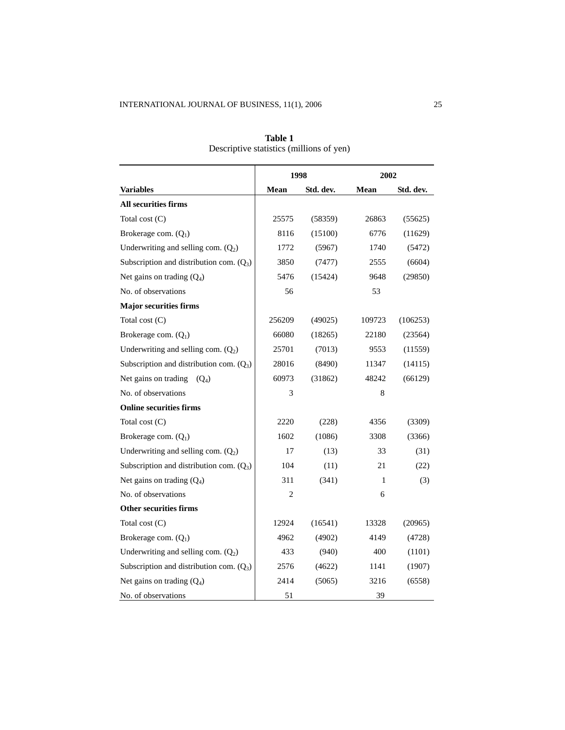|                                            | 1998   |           |        | 2002      |  |
|--------------------------------------------|--------|-----------|--------|-----------|--|
| <b>Variables</b>                           | Mean   | Std. dev. | Mean   | Std. dev. |  |
| All securities firms                       |        |           |        |           |  |
| Total cost $(C)$                           | 25575  | (58359)   | 26863  | (55625)   |  |
| Brokerage com. $(Q_1)$                     | 8116   | (15100)   | 6776   | (11629)   |  |
| Underwriting and selling com. $(Q_2)$      | 1772   | (5967)    | 1740   | (5472)    |  |
| Subscription and distribution com. $(Q_3)$ | 3850   | (7477)    | 2555   | (6604)    |  |
| Net gains on trading $(Q_4)$               | 5476   | (15424)   | 9648   | (29850)   |  |
| No. of observations                        | 56     |           | 53     |           |  |
| <b>Major securities firms</b>              |        |           |        |           |  |
| Total cost (C)                             | 256209 | (49025)   | 109723 | (106253)  |  |
| Brokerage com. $(Q_1)$                     | 66080  | (18265)   | 22180  | (23564)   |  |
| Underwriting and selling com. $(Q_2)$      | 25701  | (7013)    | 9553   | (11559)   |  |
| Subscription and distribution com. $(Q_3)$ | 28016  | (8490)    | 11347  | (14115)   |  |
| Net gains on trading<br>$(O_4)$            | 60973  | (31862)   | 48242  | (66129)   |  |
| No. of observations                        | 3      |           | 8      |           |  |
| <b>Online securities firms</b>             |        |           |        |           |  |
| Total cost $(C)$                           | 2220   | (228)     | 4356   | (3309)    |  |
| Brokerage com. $(Q_1)$                     | 1602   | (1086)    | 3308   | (3366)    |  |
| Underwriting and selling com. $(Q_2)$      | 17     | (13)      | 33     | (31)      |  |
| Subscription and distribution com. $(Q_3)$ | 104    | (11)      | 21     | (22)      |  |
| Net gains on trading $(Q_4)$               | 311    | (341)     | 1      | (3)       |  |
| No. of observations                        | 2      |           | 6      |           |  |
| <b>Other securities firms</b>              |        |           |        |           |  |
| Total cost (C)                             | 12924  | (16541)   | 13328  | (20965)   |  |
| Brokerage com. (Q <sub>1</sub> )           | 4962   | (4902)    | 4149   | (4728)    |  |
| Underwriting and selling com. $(Q_2)$      | 433    | (940)     | 400    | (1101)    |  |
| Subscription and distribution com. $(Q_3)$ | 2576   | (4622)    | 1141   | (1907)    |  |
| Net gains on trading $(Q_4)$               | 2414   | (5065)    | 3216   | (6558)    |  |
| No. of observations                        | 51     |           | 39     |           |  |

**Table 1**  Descriptive statistics (millions of yen)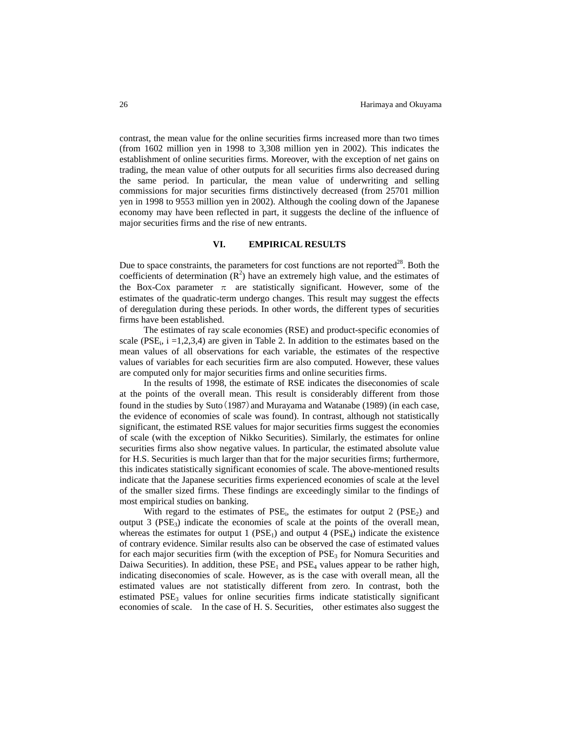contrast, the mean value for the online securities firms increased more than two times (from 1602 million yen in 1998 to 3,308 million yen in 2002). This indicates the establishment of online securities firms. Moreover, with the exception of net gains on trading, the mean value of other outputs for all securities firms also decreased during the same period. In particular, the mean value of underwriting and selling commissions for major securities firms distinctively decreased (from 25701 million yen in 1998 to 9553 million yen in 2002). Although the cooling down of the Japanese economy may have been reflected in part, it suggests the decline of the influence of major securities firms and the rise of new entrants.

## **VI. EMPIRICAL RESULTS**

Due to space constraints, the parameters for cost functions are not reported<sup>28</sup>. Both the coefficients of determination  $(R^2)$  have an extremely high value, and the estimates of the Box-Cox parameter  $\pi$  are statistically significant. However, some of the estimates of the quadratic-term undergo changes. This result may suggest the effects of deregulation during these periods. In other words, the different types of securities firms have been established.

The estimates of ray scale economies (RSE) and product-specific economies of scale (PSE<sub>i</sub>,  $i = 1,2,3,4$ ) are given in Table 2. In addition to the estimates based on the mean values of all observations for each variable, the estimates of the respective values of variables for each securities firm are also computed. However, these values are computed only for major securities firms and online securities firms.

In the results of 1998, the estimate of RSE indicates the diseconomies of scale at the points of the overall mean. This result is considerably different from those found in the studies by Suto  $(1987)$  and Murayama and Watanabe  $(1989)$  (in each case, the evidence of economies of scale was found). In contrast, although not statistically significant, the estimated RSE values for major securities firms suggest the economies of scale (with the exception of Nikko Securities). Similarly, the estimates for online securities firms also show negative values. In particular, the estimated absolute value for H.S. Securities is much larger than that for the major securities firms; furthermore, this indicates statistically significant economies of scale. The above-mentioned results indicate that the Japanese securities firms experienced economies of scale at the level of the smaller sized firms. These findings are exceedingly similar to the findings of most empirical studies on banking.

With regard to the estimates of  $PSE_i$ , the estimates for output 2 ( $PSE_2$ ) and output 3 ( $PSE_3$ ) indicate the economies of scale at the points of the overall mean, whereas the estimates for output 1 ( $PSE_1$ ) and output 4 ( $PSE_4$ ) indicate the existence of contrary evidence. Similar results also can be observed the case of estimated values for each major securities firm (with the exception of  $PSE<sub>3</sub>$  for Nomura Securities and Daiwa Securities). In addition, these  $PSE<sub>1</sub>$  and  $PSE<sub>4</sub>$  values appear to be rather high, indicating diseconomies of scale. However, as is the case with overall mean, all the estimated values are not statistically different from zero. In contrast, both the estimated  $PSE<sub>3</sub>$  values for online securities firms indicate statistically significant economies of scale. In the case of H. S. Securities, other estimates also suggest the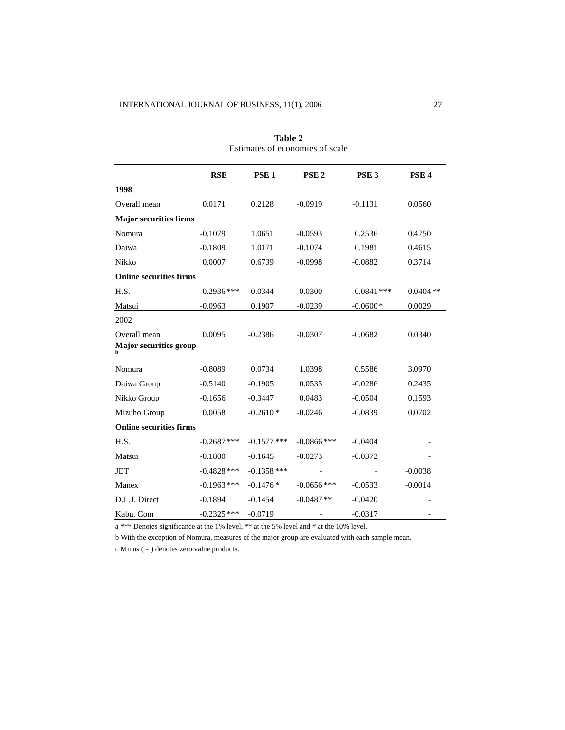|                                               | <b>RSE</b>    | PSE <sub>1</sub> | PSE <sub>2</sub> | PSE <sub>3</sub> | PSE <sub>4</sub> |
|-----------------------------------------------|---------------|------------------|------------------|------------------|------------------|
| 1998                                          |               |                  |                  |                  |                  |
| Overall mean                                  | 0.0171        | 0.2128           | $-0.0919$        | $-0.1131$        | 0.0560           |
| <b>Major securities firms</b>                 |               |                  |                  |                  |                  |
| Nomura                                        | $-0.1079$     | 1.0651           | $-0.0593$        | 0.2536           | 0.4750           |
| Daiwa                                         | $-0.1809$     | 1.0171           | $-0.1074$        | 0.1981           | 0.4615           |
| Nikko                                         | 0.0007        | 0.6739           | $-0.0998$        | $-0.0882$        | 0.3714           |
| <b>Online securities firms</b>                |               |                  |                  |                  |                  |
| H.S.                                          | $-0.2936$ *** | $-0.0344$        | $-0.0300$        | $-0.0841$ ***    | $-0.0404$ **     |
| Matsui                                        | $-0.0963$     | 0.1907           | $-0.0239$        | $-0.0600*$       | 0.0029           |
| 2002                                          |               |                  |                  |                  |                  |
| Overall mean<br><b>Major securities group</b> | 0.0095        | $-0.2386$        | $-0.0307$        | $-0.0682$        | 0.0340           |
| Nomura                                        | $-0.8089$     | 0.0734           | 1.0398           | 0.5586           | 3.0970           |
| Daiwa Group                                   | $-0.5140$     | $-0.1905$        | 0.0535           | $-0.0286$        | 0.2435           |
| Nikko Group                                   | $-0.1656$     | $-0.3447$        | 0.0483           | $-0.0504$        | 0.1593           |
| Mizuho Group                                  | 0.0058        | $-0.2610*$       | $-0.0246$        | $-0.0839$        | 0.0702           |
| <b>Online securities firms</b>                |               |                  |                  |                  |                  |
| H.S.                                          | $-0.2687$ *** | $-0.1577$ ***    | $-0.0866$ ***    | $-0.0404$        |                  |
| Matsui                                        | $-0.1800$     | $-0.1645$        | $-0.0273$        | $-0.0372$        |                  |
| <b>JET</b>                                    | $-0.4828$ *** | $-0.1358$ ***    |                  |                  | $-0.0038$        |
| Manex                                         | $-0.1963$ *** | $-0.1476*$       | $-0.0656$ ***    | $-0.0533$        | $-0.0014$        |
| D.L.J. Direct                                 | $-0.1894$     | $-0.1454$        | $-0.0487**$      | $-0.0420$        |                  |
| Kabu. Com                                     | $-0.2325$ *** | $-0.0719$        |                  | $-0.0317$        |                  |

**Table 2**  Estimates of economies of scale

a \*\*\* Denotes significance at the 1% level, \*\* at the 5% level and \* at the 10% level.

b With the exception of Nomura, measures of the major group are evaluated with each sample mean.

c Minus (-) denotes zero value products.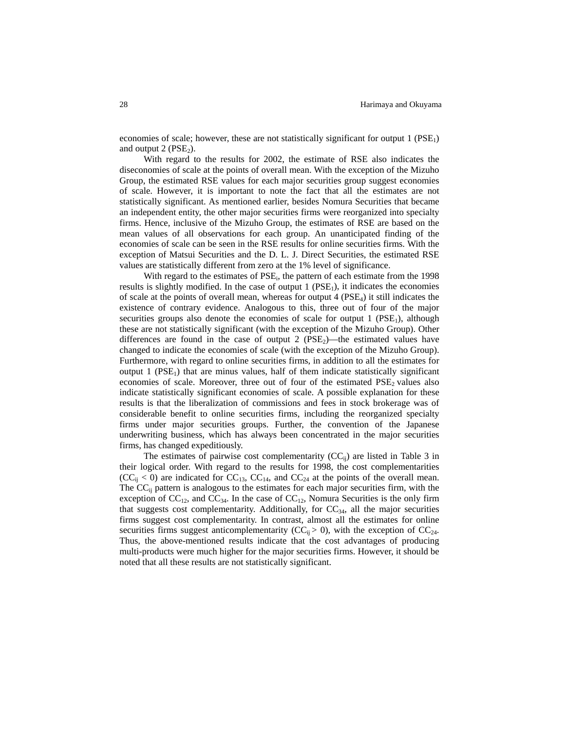economies of scale; however, these are not statistically significant for output  $1$  (PSE<sub>1</sub>) and output  $2$  (PSE<sub>2</sub>).

With regard to the results for 2002, the estimate of RSE also indicates the diseconomies of scale at the points of overall mean. With the exception of the Mizuho Group, the estimated RSE values for each major securities group suggest economies of scale. However, it is important to note the fact that all the estimates are not statistically significant. As mentioned earlier, besides Nomura Securities that became an independent entity, the other major securities firms were reorganized into specialty firms. Hence, inclusive of the Mizuho Group, the estimates of RSE are based on the mean values of all observations for each group. An unanticipated finding of the economies of scale can be seen in the RSE results for online securities firms. With the exception of Matsui Securities and the D. L. J. Direct Securities, the estimated RSE values are statistically different from zero at the 1% level of significance.

With regard to the estimates of  $PSE_i$ , the pattern of each estimate from the 1998 results is slightly modified. In the case of output 1 ( $PSE<sub>1</sub>$ ), it indicates the economies of scale at the points of overall mean, whereas for output  $4$  (PSE<sub>4</sub>) it still indicates the existence of contrary evidence. Analogous to this, three out of four of the major securities groups also denote the economies of scale for output 1 ( $PSE<sub>1</sub>$ ), although these are not statistically significant (with the exception of the Mizuho Group). Other differences are found in the case of output 2 ( $PSE_2$ )—the estimated values have changed to indicate the economies of scale (with the exception of the Mizuho Group). Furthermore, with regard to online securities firms, in addition to all the estimates for output 1 ( $PSE<sub>1</sub>$ ) that are minus values, half of them indicate statistically significant economies of scale. Moreover, three out of four of the estimated PSE<sub>2</sub> values also indicate statistically significant economies of scale. A possible explanation for these results is that the liberalization of commissions and fees in stock brokerage was of considerable benefit to online securities firms, including the reorganized specialty firms under major securities groups. Further, the convention of the Japanese underwriting business, which has always been concentrated in the major securities firms, has changed expeditiously.

The estimates of pairwise cost complementarity  $(CC_{ij})$  are listed in Table 3 in their logical order. With regard to the results for 1998, the cost complementarities  $(CC_{ij} < 0)$  are indicated for  $CC_{13}$ ,  $CC_{14}$ , and  $CC_{24}$  at the points of the overall mean. The  $CC_{ii}$  pattern is analogous to the estimates for each major securities firm, with the exception of  $CC_{12}$ , and  $CC_{34}$ . In the case of  $CC_{12}$ , Nomura Securities is the only firm that suggests cost complementarity. Additionally, for  $CC_{34}$ , all the major securities firms suggest cost complementarity. In contrast, almost all the estimates for online securities firms suggest anticomplementarity (CC<sub>ij</sub> > 0), with the exception of CC<sub>24</sub>. Thus, the above-mentioned results indicate that the cost advantages of producing multi-products were much higher for the major securities firms. However, it should be noted that all these results are not statistically significant.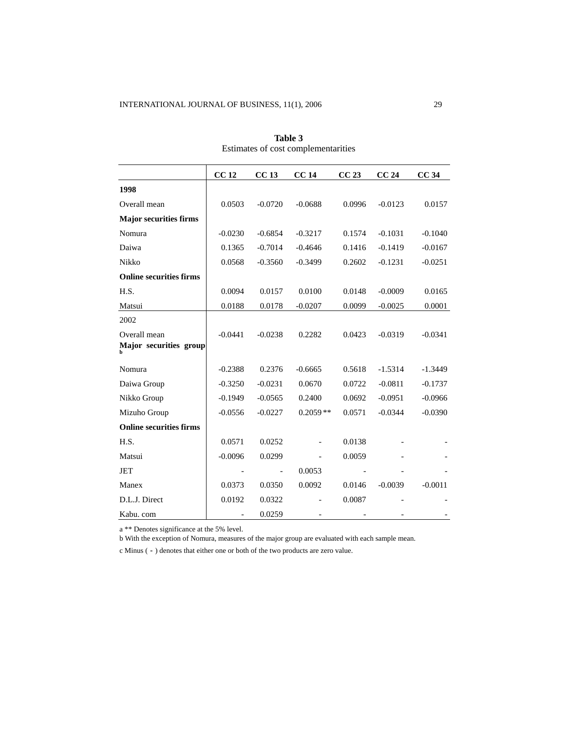|                                        | CC <sub>12</sub> | CC <sub>13</sub> | <b>CC14</b> | CC23   | CC24      | CC <sub>34</sub> |
|----------------------------------------|------------------|------------------|-------------|--------|-----------|------------------|
| 1998                                   |                  |                  |             |        |           |                  |
| Overall mean                           | 0.0503           | $-0.0720$        | $-0.0688$   | 0.0996 | $-0.0123$ | 0.0157           |
| <b>Major securities firms</b>          |                  |                  |             |        |           |                  |
| Nomura                                 | $-0.0230$        | $-0.6854$        | $-0.3217$   | 0.1574 | $-0.1031$ | $-0.1040$        |
| Daiwa                                  | 0.1365           | $-0.7014$        | $-0.4646$   | 0.1416 | $-0.1419$ | $-0.0167$        |
| Nikko                                  | 0.0568           | $-0.3560$        | $-0.3499$   | 0.2602 | $-0.1231$ | $-0.0251$        |
| <b>Online securities firms</b>         |                  |                  |             |        |           |                  |
| H.S.                                   | 0.0094           | 0.0157           | 0.0100      | 0.0148 | $-0.0009$ | 0.0165           |
| Matsui                                 | 0.0188           | 0.0178           | $-0.0207$   | 0.0099 | $-0.0025$ | 0.0001           |
| 2002                                   |                  |                  |             |        |           |                  |
| Overall mean<br>Major securities group | $-0.0441$        | $-0.0238$        | 0.2282      | 0.0423 | $-0.0319$ | $-0.0341$        |
| Nomura                                 | $-0.2388$        | 0.2376           | $-0.6665$   | 0.5618 | $-1.5314$ | $-1.3449$        |
| Daiwa Group                            | $-0.3250$        | $-0.0231$        | 0.0670      | 0.0722 | $-0.0811$ | $-0.1737$        |
| Nikko Group                            | $-0.1949$        | $-0.0565$        | 0.2400      | 0.0692 | $-0.0951$ | $-0.0966$        |
| Mizuho Group                           | $-0.0556$        | $-0.0227$        | $0.2059**$  | 0.0571 | $-0.0344$ | $-0.0390$        |
| <b>Online securities firms</b>         |                  |                  |             |        |           |                  |
| H.S.                                   | 0.0571           | 0.0252           |             | 0.0138 |           |                  |
| Matsui                                 | $-0.0096$        | 0.0299           |             | 0.0059 |           |                  |
| <b>JET</b>                             |                  |                  | 0.0053      |        |           |                  |
| Manex                                  | 0.0373           | 0.0350           | 0.0092      | 0.0146 | $-0.0039$ | $-0.0011$        |
| D.L.J. Direct                          | 0.0192           | 0.0322           |             | 0.0087 |           |                  |
| Kabu. com                              |                  | 0.0259           |             |        |           |                  |

**Table 3**  Estimates of cost complementarities

a \*\* Denotes significance at the 5% level.

b With the exception of Nomura, measures of the major group are evaluated with each sample mean.

c Minus (-) denotes that either one or both of the two products are zero value.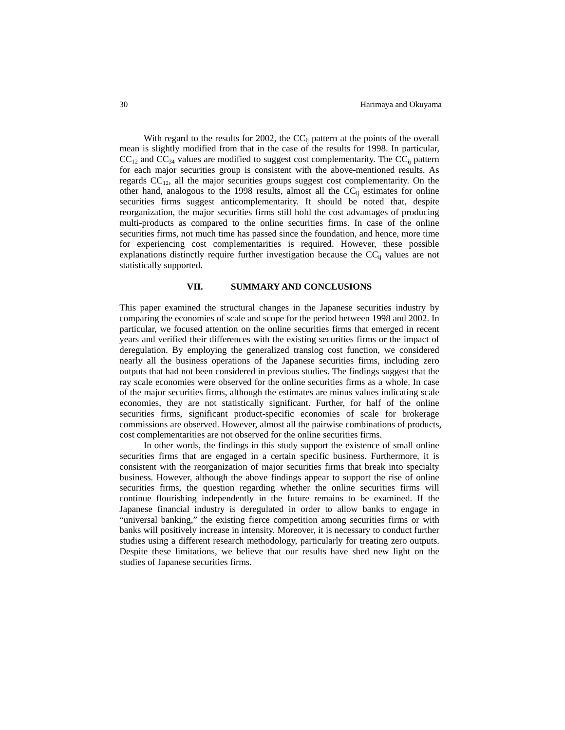With regard to the results for 2002, the  $CC_{ij}$  pattern at the points of the overall mean is slightly modified from that in the case of the results for 1998. In particular,  $CC_{12}$  and  $CC_{34}$  values are modified to suggest cost complementarity. The  $CC_{ij}$  pattern for each major securities group is consistent with the above-mentioned results. As regards  $CC_{12}$ , all the major securities groups suggest cost complementarity. On the other hand, analogous to the 1998 results, almost all the  $CC_{ii}$  estimates for online securities firms suggest anticomplementarity. It should be noted that, despite reorganization, the major securities firms still hold the cost advantages of producing multi-products as compared to the online securities firms. In case of the online securities firms, not much time has passed since the foundation, and hence, more time for experiencing cost complementarities is required. However, these possible explanations distinctly require further investigation because the  $CC_{ij}$  values are not statistically supported.

#### **VII. SUMMARY AND CONCLUSIONS**

This paper examined the structural changes in the Japanese securities industry by comparing the economies of scale and scope for the period between 1998 and 2002. In particular, we focused attention on the online securities firms that emerged in recent years and verified their differences with the existing securities firms or the impact of deregulation. By employing the generalized translog cost function, we considered nearly all the business operations of the Japanese securities firms, including zero outputs that had not been considered in previous studies. The findings suggest that the ray scale economies were observed for the online securities firms as a whole. In case of the major securities firms, although the estimates are minus values indicating scale economies, they are not statistically significant. Further, for half of the online securities firms, significant product-specific economies of scale for brokerage commissions are observed. However, almost all the pairwise combinations of products, cost complementarities are not observed for the online securities firms.

In other words, the findings in this study support the existence of small online securities firms that are engaged in a certain specific business. Furthermore, it is consistent with the reorganization of major securities firms that break into specialty business. However, although the above findings appear to support the rise of online securities firms, the question regarding whether the online securities firms will continue flourishing independently in the future remains to be examined. If the Japanese financial industry is deregulated in order to allow banks to engage in "universal banking," the existing fierce competition among securities firms or with banks will positively increase in intensity. Moreover, it is necessary to conduct further studies using a different research methodology, particularly for treating zero outputs. Despite these limitations, we believe that our results have shed new light on the studies of Japanese securities firms.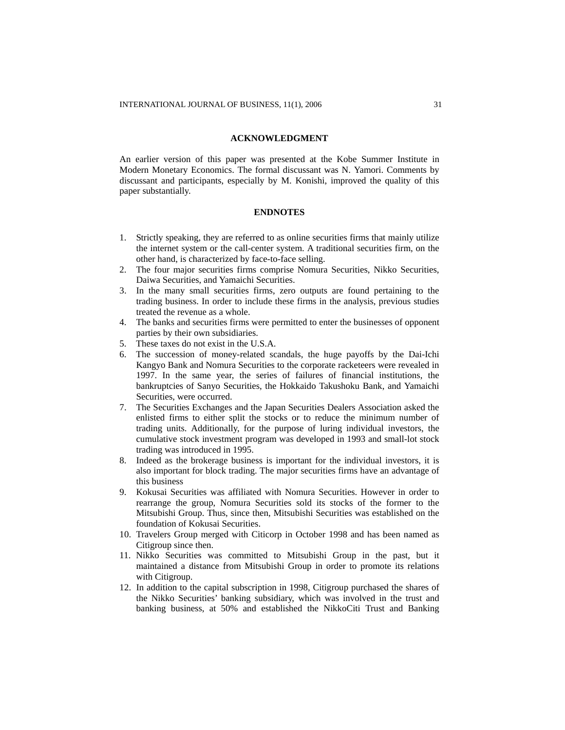#### **ACKNOWLEDGMENT**

An earlier version of this paper was presented at the Kobe Summer Institute in Modern Monetary Economics. The formal discussant was N. Yamori. Comments by discussant and participants, especially by M. Konishi, improved the quality of this paper substantially.

# **ENDNOTES**

- 1. Strictly speaking, they are referred to as online securities firms that mainly utilize the internet system or the call-center system. A traditional securities firm, on the other hand, is characterized by face-to-face selling.
- 2. The four major securities firms comprise Nomura Securities, Nikko Securities, Daiwa Securities, and Yamaichi Securities.
- 3. In the many small securities firms, zero outputs are found pertaining to the trading business. In order to include these firms in the analysis, previous studies treated the revenue as a whole.
- 4. The banks and securities firms were permitted to enter the businesses of opponent parties by their own subsidiaries.
- 5. These taxes do not exist in the U.S.A.
- 6. The succession of money-related scandals, the huge payoffs by the Dai-Ichi Kangyo Bank and Nomura Securities to the corporate racketeers were revealed in 1997. In the same year, the series of failures of financial institutions, the bankruptcies of Sanyo Securities, the Hokkaido Takushoku Bank, and Yamaichi Securities, were occurred.
- 7. The Securities Exchanges and the Japan Securities Dealers Association asked the enlisted firms to either split the stocks or to reduce the minimum number of trading units. Additionally, for the purpose of luring individual investors, the cumulative stock investment program was developed in 1993 and small-lot stock trading was introduced in 1995.
- 8. Indeed as the brokerage business is important for the individual investors, it is also important for block trading. The major securities firms have an advantage of this business
- 9. Kokusai Securities was affiliated with Nomura Securities. However in order to rearrange the group, Nomura Securities sold its stocks of the former to the Mitsubishi Group. Thus, since then, Mitsubishi Securities was established on the foundation of Kokusai Securities.
- 10. Travelers Group merged with Citicorp in October 1998 and has been named as Citigroup since then.
- 11. Nikko Securities was committed to Mitsubishi Group in the past, but it maintained a distance from Mitsubishi Group in order to promote its relations with Citigroup.
- 12. In addition to the capital subscription in 1998, Citigroup purchased the shares of the Nikko Securities' banking subsidiary, which was involved in the trust and banking business, at 50% and established the NikkoCiti Trust and Banking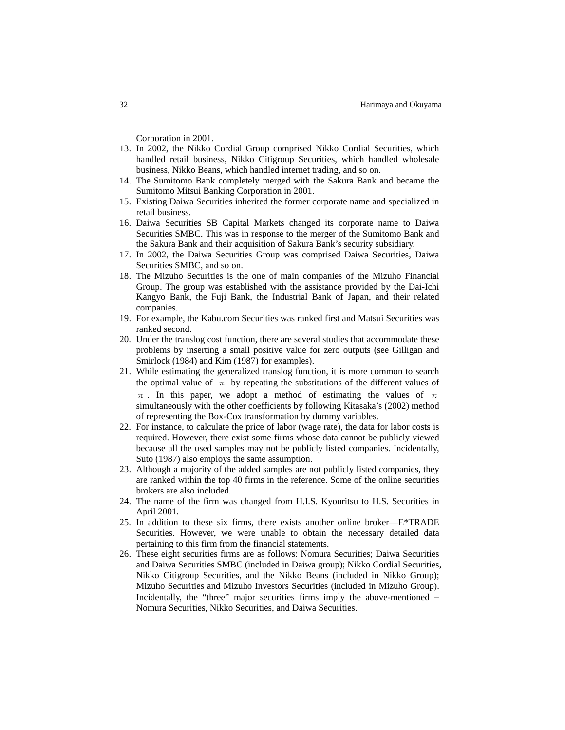Corporation in 2001.

- 13. In 2002, the Nikko Cordial Group comprised Nikko Cordial Securities, which handled retail business, Nikko Citigroup Securities, which handled wholesale business, Nikko Beans, which handled internet trading, and so on.
- 14. The Sumitomo Bank completely merged with the Sakura Bank and became the Sumitomo Mitsui Banking Corporation in 2001.
- 15. Existing Daiwa Securities inherited the former corporate name and specialized in retail business.
- 16. Daiwa Securities SB Capital Markets changed its corporate name to Daiwa Securities SMBC. This was in response to the merger of the Sumitomo Bank and the Sakura Bank and their acquisition of Sakura Bank's security subsidiary.
- 17. In 2002, the Daiwa Securities Group was comprised Daiwa Securities, Daiwa Securities SMBC, and so on.
- 18. The Mizuho Securities is the one of main companies of the Mizuho Financial Group. The group was established with the assistance provided by the Dai-Ichi Kangyo Bank, the Fuji Bank, the Industrial Bank of Japan, and their related companies.
- 19. For example, the Kabu.com Securities was ranked first and Matsui Securities was ranked second.
- 20. Under the translog cost function, there are several studies that accommodate these problems by inserting a small positive value for zero outputs (see Gilligan and Smirlock (1984) and Kim (1987) for examples).
- 21. While estimating the generalized translog function, it is more common to search the optimal value of  $\pi$  by repeating the substitutions of the different values of  $\pi$ . In this paper, we adopt a method of estimating the values of  $\pi$ simultaneously with the other coefficients by following Kitasaka's (2002) method of representing the Box-Cox transformation by dummy variables.
- 22. For instance, to calculate the price of labor (wage rate), the data for labor costs is required. However, there exist some firms whose data cannot be publicly viewed because all the used samples may not be publicly listed companies. Incidentally, Suto (1987) also employs the same assumption.
- 23. Although a majority of the added samples are not publicly listed companies, they are ranked within the top 40 firms in the reference. Some of the online securities brokers are also included.
- 24. The name of the firm was changed from H.I.S. Kyouritsu to H.S. Securities in April 2001.
- 25. In addition to these six firms, there exists another online broker—E\*TRADE Securities. However, we were unable to obtain the necessary detailed data pertaining to this firm from the financial statements.
- 26. These eight securities firms are as follows: Nomura Securities; Daiwa Securities and Daiwa Securities SMBC (included in Daiwa group); Nikko Cordial Securities, Nikko Citigroup Securities, and the Nikko Beans (included in Nikko Group); Mizuho Securities and Mizuho Investors Securities (included in Mizuho Group). Incidentally, the "three" major securities firms imply the above-mentioned − Nomura Securities, Nikko Securities, and Daiwa Securities.